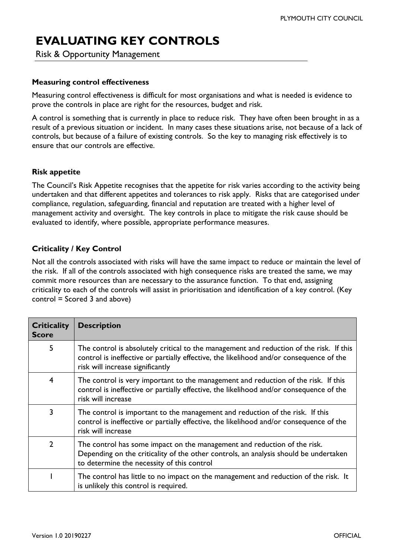# **EVALUATING KEY CONTROLS**

Risk & Opportunity Management

#### **Measuring control effectiveness**

Measuring control effectiveness is difficult for most organisations and what is needed is evidence to prove the controls in place are right for the resources, budget and risk.

A control is something that is currently in place to reduce risk. They have often been brought in as a result of a previous situation or incident. In many cases these situations arise, not because of a lack of controls, but because of a failure of existing controls. So the key to managing risk effectively is to ensure that our controls are effective.

#### **Risk appetite**

The Council's Risk Appetite recognises that the appetite for risk varies according to the activity being undertaken and that different appetites and tolerances to risk apply. Risks that are categorised under compliance, regulation, safeguarding, financial and reputation are treated with a higher level of management activity and oversight. The key controls in place to mitigate the risk cause should be evaluated to identify, where possible, appropriate performance measures.

### **Criticality / Key Control**

Not all the controls associated with risks will have the same impact to reduce or maintain the level of the risk. If all of the controls associated with high consequence risks are treated the same, we may commit more resources than are necessary to the assurance function. To that end, assigning criticality to each of the controls will assist in prioritisation and identification of a key control. (Key control = Scored 3 and above)

| <b>Criticality</b><br><b>Score</b> | <b>Description</b>                                                                                                                                                                                                     |
|------------------------------------|------------------------------------------------------------------------------------------------------------------------------------------------------------------------------------------------------------------------|
| 5                                  | The control is absolutely critical to the management and reduction of the risk. If this<br>control is ineffective or partially effective, the likelihood and/or consequence of the<br>risk will increase significantly |
| $\overline{4}$                     | The control is very important to the management and reduction of the risk. If this<br>control is ineffective or partially effective, the likelihood and/or consequence of the<br>risk will increase                    |
| 3                                  | The control is important to the management and reduction of the risk. If this<br>control is ineffective or partially effective, the likelihood and/or consequence of the<br>risk will increase                         |
| $\overline{2}$                     | The control has some impact on the management and reduction of the risk.<br>Depending on the criticality of the other controls, an analysis should be undertaken<br>to determine the necessity of this control         |
|                                    | The control has little to no impact on the management and reduction of the risk. It<br>is unlikely this control is required.                                                                                           |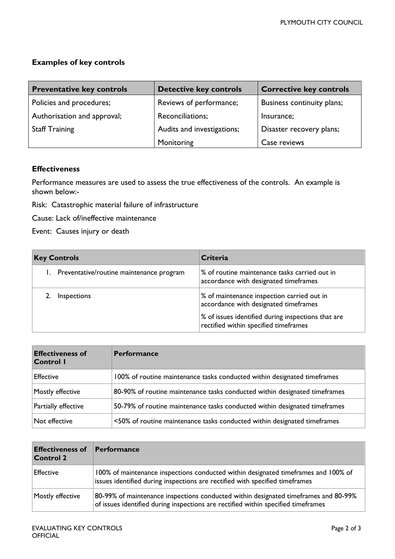# **Examples of key controls**

| <b>Preventative key controls</b> | <b>Detective key controls</b> | <b>Corrective key controls</b> |
|----------------------------------|-------------------------------|--------------------------------|
| Policies and procedures;         | Reviews of performance;       | Business continuity plans;     |
| Authorisation and approval;      | Reconciliations;              | Insurance;                     |
| <b>Staff Training</b>            | Audits and investigations;    | Disaster recovery plans;       |
|                                  | Monitoring                    | Case reviews                   |

## **Effectiveness**

Performance measures are used to assess the true effectiveness of the controls. An example is shown below:-

Risk: Catastrophic material failure of infrastructure

Cause: Lack of/ineffective maintenance

Event: Causes injury or death

| <b>Key Controls</b>                         | Criteria                                                                                                                                                                           |
|---------------------------------------------|------------------------------------------------------------------------------------------------------------------------------------------------------------------------------------|
| 1. Preventative/routine maintenance program | % of routine maintenance tasks carried out in<br>accordance with designated timeframes                                                                                             |
| Inspections                                 | % of maintenance inspection carried out in<br>accordance with designated timeframes<br>% of issues identified during inspections that are<br>rectified within specified timeframes |

| <b>Effectiveness of</b><br>Control I | <b>Performance</b>                                                         |
|--------------------------------------|----------------------------------------------------------------------------|
| Effective                            | 100% of routine maintenance tasks conducted within designated timeframes   |
| Mostly effective                     | 80-90% of routine maintenance tasks conducted within designated timeframes |
| Partially effective                  | 50-79% of routine maintenance tasks conducted within designated timeframes |
| Not effective                        | <50% of routine maintenance tasks conducted within designated timeframes   |

| <b>Effectiveness of</b><br><b>Control 2</b> | Performance                                                                                                                                                              |
|---------------------------------------------|--------------------------------------------------------------------------------------------------------------------------------------------------------------------------|
| <b>Effective</b>                            | 100% of maintenance inspections conducted within designated timeframes and 100% of<br>issues identified during inspections are rectified with specified timeframes       |
| Mostly effective                            | 80-99% of maintenance inspections conducted within designated timeframes and 80-99%<br>of issues identified during inspections are rectified within specified timeframes |